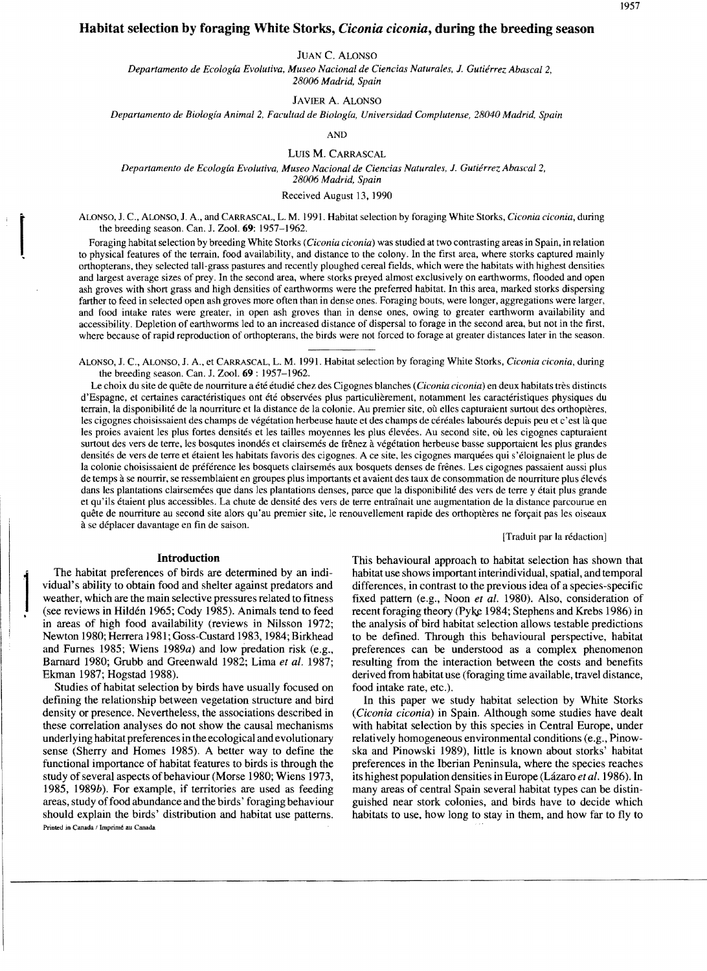# **Habitat selection by foraging White Storks,** *Ciconia ciconia,* **during the breeding season**

JUAN C. ALONSO

*Departamento de Ecología Evolutiva, Museo Nacional de Ciencias Naturales,* J. *Gutiérrez Abascal 2, 28006 Madrid, Spain* 

JAVIER A. ALONSO

*Departamento de Biología Animal* 2, *Facultad de Biología, Universidad Complutense, 28040 Madrid, Spain* 

AND

LUIS M. CARRASCAL

*Departamento de Ecología Evolutiva, Museo Nacional de Ciencias Naturales,* J. *Gutiérrez Abascal2, 28006 Madrid, Spain* 

Received August 13, 1990

ALONSO, J. C., ALONSO, J. A., and CARRASCAL, L. M. 1991. Habitat selection by foraging White Storks, *Ciconia ciconia,* during the breeding season. Can. J. Zool. 69: 1957-1962.

Foraging habitat selection by breeding White Storks (*Ciconia ciconia*) was studied at two contrasting areas in Spain, in relation to physical features of the terrain, food availability, and distance to the colony. In the orthopterans, they selected tall-grass pastures and recently ploughed cereal fields, which were the habitats with highest densities and largest average sizes of prey. In the seeond area, where storks preyed almost excIusively on earthworms, flooded and open ash groves with short grass and high densities of earthworms were the preferred habitat. In this area, marked storks dispersing farther to feed in selected open ash groves more often than in dense ones. Foraging bouts, were longer, aggregations were larger, and food intake rates were greater, in open ash groves than in dense ones, owing to greater earthworm availability and accessibility. Depletion of earthworms led to an increased distance of dispersal to forage in the second area, but not in the first, where because of rapid reproduction of orthopterans, the birds were not forced to forage at greater distances later in the season.

ALONSO, J. C., ALONSO, J. A., et CARRASCAL, L. M. 1991. Habitat selection by foraging White Storks, *Ciconia ciconia,* during the breeding season. Can. J. Zool. **69:** 1957-1962.

Le choix du site de quete de nournture a été étudié chez des Cigognes blanches *(Ciconia ciconia)* en deux habitats tres distinets d'Espagne, et certaines caractéristiques ont été observées plus particulierement, notamment les caractéristiques physiques du terrain, la disponibilité de la nourriture et la distance de la colonie. Au premier site, où elles capturaient surtout des orthoptères, les eigognes choisissaient des ehamps de végétation herbeuse haute et des champs de céréales labourés depuis peu et e'est la que les proies avaient les plus fortes densités et les tailles moyennes les plus élevées. Au seeond site, ou les cigognes eapturaient surtout des vers de terre, les bosqutes inondés et clairsemés de frênez à végétation herbeuse basse supportaient les plus grandes densités de vers de terre et étaient les habitats favoris des cigognes. A ce site, les cigognes marquées qui s'éloignaient le plus de la colonie choisissaient de préférence les bosquets clairsemés aux bosquets denses de frênes. Les cigognes passaient aussi plus de temps à se nourrir, se ressemblaient en groupes plus importants et avaient des taux de consommation de nourriture plus élevés dans les plantations clairsemées que dans les plantations denses, paree que la disponibilité des vers de terre y était plus grande et qu'ils étaient plus accessibles. La chute de densité des vers de terre entraînait une augmentation de la distance parcourue en quête de nourriture au second site alors qu'au premier site, le renouvellement rapide des orthoptères ne forçait pas les oiseaux a se déplaeer davantage en fin de saison.

[Traduit par la rédaction]

vidual's ability to obtain food and shelter against predators and differences, in contrast to the previous idea of a species-specific weather, which are the main selective pressures related to fitness fixed pattern (e.g., weather, which are the main selective pressures related to fitness fixed pattern (e.g., Noon *et al.* 1980). Also, consideration of (see reviews in Hildén 1965; Cody 1985). Animals tend to feed recent foraging theory (Pyke in areas of high food availability (reviews in Nilsson 1972; the analysis of bird habitat selection allows testable predictions<br>Newton 1980; Herrera 1981; Goss-Custard 1983, 1984; Birkhead to be defined. Through this behav Newton 1980; Herrera 1981; Goss-Custard 1983, 1984; Birkhead to be defined. Through this behavioural perspective, habitat and Furnes 1985; Wiens 1989a) and low predation risk (e.g., preferences can be understood as a compl Barnard 1980; Grubb and Greenwald 1982; Lima et al. 1987; resulting from the interaction between the costs and benefits

Studies of habitat selection by birds have usually focused on food intake rate, etc.). defining the relationship between vegetation structure and bird In this paper we study habitat selection by White Storks density or presence. Nevertheless, the associations described in (Ciconia ciconia) in Spain. Although some studies have dealt these correlation analyses do not show the causal mechanisms with habitat selection by this species in Central Europe, under underlying habitat preferences in the ecological and evolutionary relatively homogeneous environmental conditions (e.g., Pinowsense (Sherry and Homes 1985). A better way to define the ska and Pinowski 1989), little is known about storks' habitat functional importance of habitat features to birds is through the preferences in the Iberian Peninsula, where the species reaches study of several aspects of behaviour (Morse 1980; Wiens 1973, its highest population densities in Europe (Lázaro *et al.* 1986). In 1985. 1989b). For example, if territories are used as feeding many areas of central Spain several habitat types can be distinareas, study offoad abundance and the birds' foraging behaviour guished near stork colonies, and birds have to decide which should explain the birds' distribution and habitat use pattems. habitats to use, how long to stay in them, and how far to fly to Printed in Canada / Imprimé au Canada

**Introduction Introduction** This behavioural approach to habitat selection has shown that The habitat preferences of birds are determined by an indi-<br>habitat use shows important interindividual, spatial, and temporal habitat use shows important interindividual, spatial, and temporal recent foraging theory (Pyke 1984; Stephens and Krebs 1986) in preferences can be understood as a complex phenomenon Ekman 1987; Hogstad 1988). derived from habitat use (foraging time available, travel distance,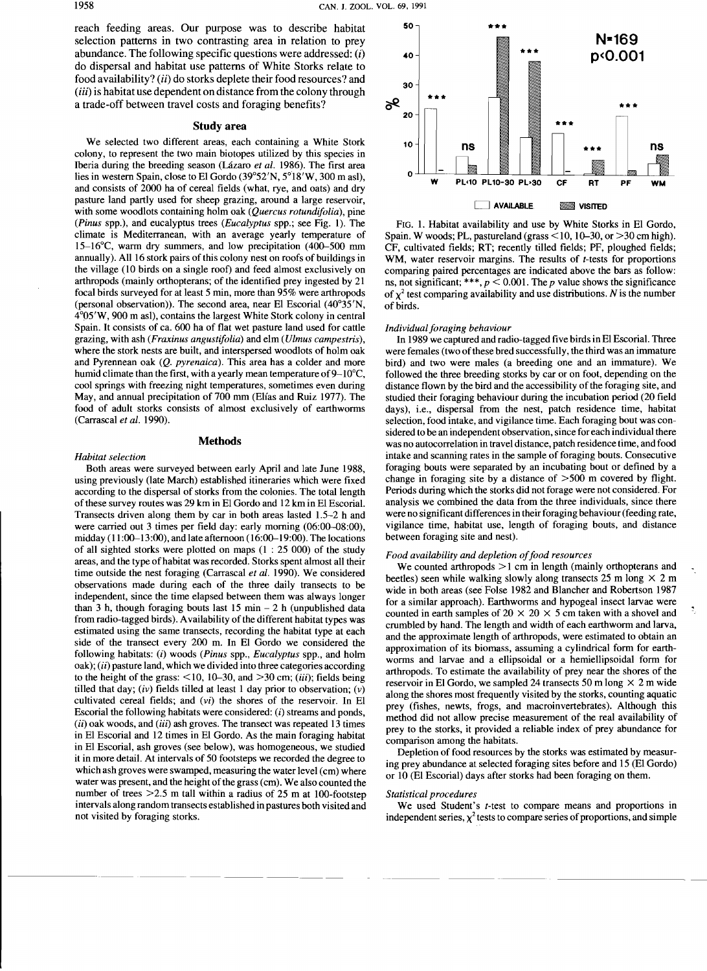reach feeding areas. Our purpose was to describe habitat selection pattems in two contrasting area in relation to prey abundance. The following specific questions were addressed:  $(i)$ do dispersal and habitat use pattems of White Storks relate to food availability? (ii) do storks deplete their food resources? and (*iii*) is habitat use dependent on distance from the colony through a trade-off between travel costs and foraging benefits?

#### Studyarea

We selected two different areas, each containing a White Stork colony, to represent the two main biotopes utilized by this species in Iberia during the breeding season (Lázaro *et al.* 1986). The first area lies in western Spain, close to El Gordo  $(39°52'N, 5°18'W, 300 m$  asl), and consists of 2000 ha of cereal fields (what, rye, and oats) and dry pasture land partly used for sheep grazing, around a large reservoir, with sorne woodlots containing holm oak *(Quercus rotundifolia),* pine *(Pinus* spp.), and eucalyptus trees *(Eucalyptus* spp.; see Fig. 1). The climate is Mediterranean, with an average yearly temperature of l5-16°C, warm dry summers, and low precipitation (400-500 mm annually). All 16 stork pairs of this colony nest on roofs of buildings in the village (10 birds on a single roof) and feed almost exclusively on arthropods (mainly orthopterans; of the identified prey ingested by 21 focal birds surveyed for at least 5 min, more than 95% were arthropods (personal observation)). The second area, near El Escorial  $(40^{\circ}35'N,$ 4°05'W, 900 m asl), contains the largest White Stork colony in central Spain. It consists of ca. 600 ha of flat wet pasture land used for cattle grazing, with ash *(Fraxinus angustifolia)* and elm *(Ulmus campestris),*  where the stork nests are built, and interspersed woodlots of holm oak and Pyrennean oak *(Q. pyrenaica).* This area has a colder and more humid climate than the first, with a yearly mean temperature of  $9-10^{\circ}$ C, cool springs with freezing night temperatures, sometimes even during May, and annual precipitation of 700 mm (Elías and Ruiz 1977). The food of adult storks consists of almost exclusively of earthworms (Carrascal *et al. 1990).* 

#### Methods

#### *Habitat selection*

Both areas were surveyed between early April and late June 1988, using previously (late March) established itineraries which were fixed according to the dispersal of storks from the colonies. The total length of these survey routes was 29 km in El Gordo and 12 km in El Escorial. Transects driven along them by car in both areas lasted 1.5-2 h and were carried out 3 times per field day: early morning (06:00-08:00), midday  $(11:00-13:00)$ , and late afternoon  $(16:00-19:00)$ . The locations of all sighted storks were plotted on maps  $(1: 25 000)$  of the study areas, and the type of habitat was recorded. Storks spent almost all their time outside the nest foraging (Carrascal *et al.* 1990). We considered observations made during each of the three daily transects to be independent, since the time elapsed between them was always longer than 3 h, though foraging bouts last  $15 \text{ min} - 2 \text{ h}$  (unpublished data from radio-tagged birds). A vailability of the different habitat types was estimated using the same transects, recording the habitat type at each side of the transect every 200 m. In El Gordo we considered the fol!owing habitats: (i) woods *(Pinus* spp., *Eucalyptus* spp., and holm  $oak$ ;  $(ii)$  pasture land, which we divided into three categories according to the height of the grass:  $\leq 10$ , 10-30, and  $> 30$  cm; (*iii*); fields being tilled that day; *(iv)* fields tilled at least 1 day prior to observation; *(v)*  cultivated cereal fields; and *(vi)* the shores of the reservoir. In El Escorial the following habitats were considered:  $(i)$  streams and ponds,  $(ii)$  oak woods, and  $(iii)$  ash groves. The transect was repeated 13 times in El Escorial and 12 times in El Gordo. As the main foraging habitat in El Escorial, ash groves (see below), was homogeneous, we studied it in more detail. At intervals of 50 footsteps we recorded the degree to which ash groves were swamped, measuring the water level (cm) where water was present, and the height of the grass (cm). We also counted the number of trees  $>2.5$  m tall within a radius of 25 m at 100-footstep intervals along random transects established in pastures both visited and not visited by foraging storks.



FIG. 1. Habitat availability and use by White Storks in El Gordo, Spain. W woods; PL, pastureland (grass  $\leq$  10, 10–30, or  $>$  30 cm high). CF, cultivated fields; RT; recently tilled fields; PF, ploughed fields; WM, water reservoir margins. The results of *t-tests* for proportions comparing paired percentages are indicated above the bars as follow: ns, not significant; \*\*\*,  $p < 0.001$ . The p value shows the significance of  $\chi^2$  test comparing availability and use distributions. N is the number of birds.

#### *Individual foraging behaviour*

In 1989 we captured and radio-tagged five birds in El Escorial. Three were females (two of these bred successfully, the third was an immature bird) and two were males (a breeding one and an immature). We followed the three breeding storks by car or on foot, depending on the distance flown by the bird and the accessibility of the foraging site, and studied their foraging behaviour during the incubation period (20 field days), i.e., dispersal from the nest, patch residence time, habitat selection, food intake, and vigilance time. Each foraging bout was considered to be an independent observation, since for each individual there was no autocorrelation in travel distance, patch residence time, and food intake and scanning rates in the sample of foraging bouts. Consecutive foraging bouts were separated by an incubating bout or defined by a change in foraging site by a distance of >500 m covered by flight. Periods during which the storks did not forage were not considered. For analysis we combined the data from the three individuals, since there were no significant differences in their foraging behaviour (feeding rate, vigilance time, habitat use, length of foraging bouts, and distance between foraging site and nest).

#### Food availability and depletion of food resources

We counted arthropods  $>1$  cm in length (mainly orthopterans and beetles) seen while walking slowly along transects 25 m long  $\times$  2 m wide in both areas (see Folse 1982 and Blancher and Robertson 1987 for a similar approach). Earthworms and hypogeal insect larvae were counted in earth samples of  $20 \times 20 \times 5$  cm taken with a shovel and crumbled by hand. The length and width of each earthworm and larva, and the approximate length of arthropods, were estimated to obtain an approximation of its biomass, assuming a cylindrical form for earthworms and larvae and a ellipsoidal or a hemiellipsoidal form for arthropods. To estimate the availability of prey near the shores of the reservoir in El Gordo, we sampled 24 transects 50 m long  $\times$  2 m wide along the shores most frequently visited by the storks, counting aquatic prey (fishes, newts, frogs, and macroinvertebrates). Although this method did not allow precise measurement of the real availability of prey to the storks, it provided a reliable index of prey abundance for comparison among the habitats.

Depletion of food resources by the storks was estimated by measuring prey abundance at selected foraging sites before and 15 (El Gordo) or 10 (El Escorial) days after storks had been foraging on them.

#### *Statistical procedures*

We used Student's *t-test* to compare means and proportions in independent series,  $\chi^2$  tests to compare series of proportions, and simple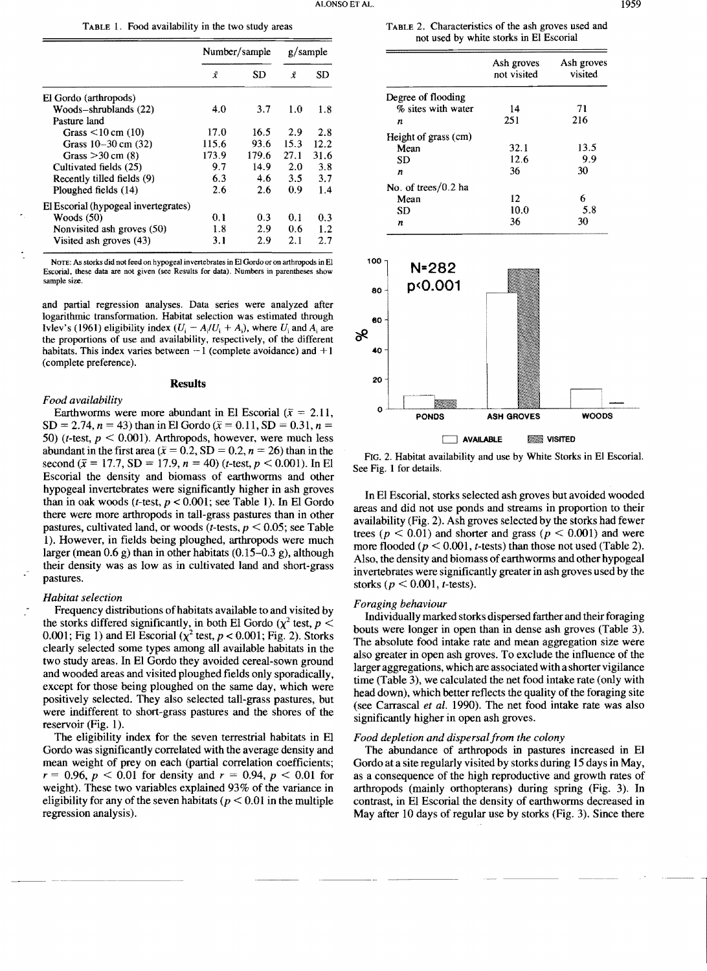TABLE l. Food availability in the two study areas

|                                      | Number/sample |       | g/sample |      |
|--------------------------------------|---------------|-------|----------|------|
|                                      | Ī             | SD    | Ÿ        | SD   |
| El Gordo (arthropods)                |               |       |          |      |
| Woods-shrublands (22)                | 4.0           | 3.7   | 1.0      | 1.8  |
| Pasture land                         |               |       |          |      |
| Grass $\leq 10$ cm (10)              | 17.0          | 16.5  | 2.9      | 2.8  |
| Grass $10-30$ cm $(32)$              | 115.6         | 93.6  | 15.3     | 12.2 |
| Grass $>$ 30 cm (8)                  | 173.9         | 179.6 | 27.1     | 31.6 |
| Cultivated fields (25)               | 9.7           | 14.9  | 2.0      | 3.8  |
| Recently tilled fields (9)           | 6.3           | 4.6   | 3.5      | 3.7  |
| Ploughed fields (14)                 | 2.6           | 2.6   | 0.9      | 1.4  |
| El Escorial (hypogeal invertegrates) |               |       |          |      |
| Woods $(50)$                         | 0.1           | 0.3   | 0.1      | 0.3  |
| Nonvisited ash groves (50)           | 1.8           | 2.9   | 0.6      | 1.2  |
| Visited ash groves (43)              | 3.1           | 2.9   | 2.1      | 2.7  |

NOTE: As storks did not feed on hypogeal invertebrates in El Gordo or on arthropods in El Escorial, these data are not given (sce Results for data). Numbers in parentheses show sample size

and partíal regression analyses. Data series were analyzed after logarithmic transformation. Habitat selection was estimated through Ivlev's (1961) eligibility index  $(U_i - A_i/U_i + A_i)$ , where  $U_i$  and  $A_i$  are the proportions of use and availability, respectively, of the different habitats. This index varies between  $-1$  (complete avoidance) and  $+1$ (complete preference).

#### **Results**

# *Food availability*

Earthworms were more abundant in El Escorial ( $\bar{x} = 2.11$ ,  $SD = 2.74$ ,  $n = 43$ ) than in El Gordo ( $\bar{x} = 0.11$ ,  $SD = 0.31$ ,  $n =$ 50) (*t*-test,  $p < 0.001$ ). Arthropods, however, were much less abundant in the first area ( $\bar{x} = 0.2$ , SD = 0.2, *n* = 26) than in the second ( $\bar{x}$  = 17.7, SD = 17.9, *n* = 40) (*t*-test, *p* < 0.001). In El Escorial the density and biomass of earthworms and other hypogeal invertebrates were significantly higher in ash groves than in oak woods ( $t$ -test,  $p < 0.001$ ; see Table 1). In El Gordo there were more arthropods in tall-grass pastures than in other pastures, cultivated land, or woods (*t*-tests,  $p \le 0.05$ ; see Table 1). However, in fields being ploughed, artbropods were much larger (mean 0.6 g) than in other habitats (0.15-0.3 g), although their density was as low as in cultivated land and short-grass pastures.

#### *Habitat selection*

Frequency distributions of habitats available to and visited by the storks differed significantly, in both El Gordo  $(\chi^2 \text{ test}, p \leq$ 0.001; Fig 1) and El Escorial  $(\chi^2 \text{ test}, p < 0.001; \text{Fig. 2})$ . Storks clearly selected sorne types among all available habitats in the two study areas. In El Gordo they avoided cereal-sown ground and wooded areas and visited ploughed fields only sporadically, except for those being ploughed on the same day, which were positively selected. They also selected tall-grass pastures, but were indifferent to short-grass pastures and the shores of the reservoir (Fig. 1).

The eligibility index for the seven terrestrial habitats in El Gordo was significantIy correlated with the average density and mean weight of prey on each (partial correlation coefficients;  $r = 0.96$ ,  $p < 0.01$  for density and  $r = 0.94$ ,  $p < 0.01$  for weight). These two variables explained 93% of the variance in eligibility for any of the seven habitats ( $p < 0.01$  in the multiple regression analysis).

TABLE 2. Characteristics of the ash groves used and not used by white storks in El Escorial

|                      | Ash groves<br>not visited | Ash groves<br>visited |  |  |
|----------------------|---------------------------|-----------------------|--|--|
| Degree of flooding   |                           |                       |  |  |
| % sites with water   | 14                        | 71                    |  |  |
| n                    | 251                       | 216                   |  |  |
| Height of grass (cm) |                           |                       |  |  |
| Mean                 | 32.1                      | 13.5                  |  |  |
| SD                   | 12.6                      | 9.9                   |  |  |
| n                    | 36                        | 30                    |  |  |
| No. of trees/0.2 ha  |                           |                       |  |  |
| Mean                 | 12                        | 6                     |  |  |
| SD                   | 10.0                      | 5.8                   |  |  |
| n                    | 36                        | 30                    |  |  |



FIG. 2. Habitat availability and use by White Storks in El Escorial. See Fig. 1 for details.

In El Escorial, storks selected ash groves but avoided wooded areas and did not use ponds and streams in proportion to their availability (Fig. 2). Ash groves selected by the storks had fewer trees ( $p < 0.01$ ) and shorter and grass ( $p < 0.001$ ) and were more flooded ( $p < 0.001$ , t-tests) than those not used (Table 2). AIso, the density and biomass of earthworms and other hypogeal invertebrates were significantIy greater in ash groves used by the storks *(p* < 0.001, *t-tests).* 

# *Foraging behaviour*

Individually marked storks dispersed farther and their foraging bouts were longer in open than in dense ash groves (Table 3). The absolute food intake rate and mean aggregation size were also greater in open ash groves. To exclude the influence of the larger aggregations, which are associated with a shorter vigilance time (Table 3), we caIculated the net food intake rate (only with head down), which better reflects the quality of the foraging site (see Carrascal *et al.* 1990). The net food intake rate was also significantly higher in open ash groves.

# *Food depletion and dispersalfrom the colony*

The abundance of arthropods in pastures increased in El Gordo at a site regularly visited by storks during 15 days in May, as a consequence of the high reproductive and growth rates of artbropods (mainly orthopterans) during spring (Fig. 3). In contrast, in El Escorial the density of earthworms decreased in May after 10 days of regular use by storks (Fig. 3). Since there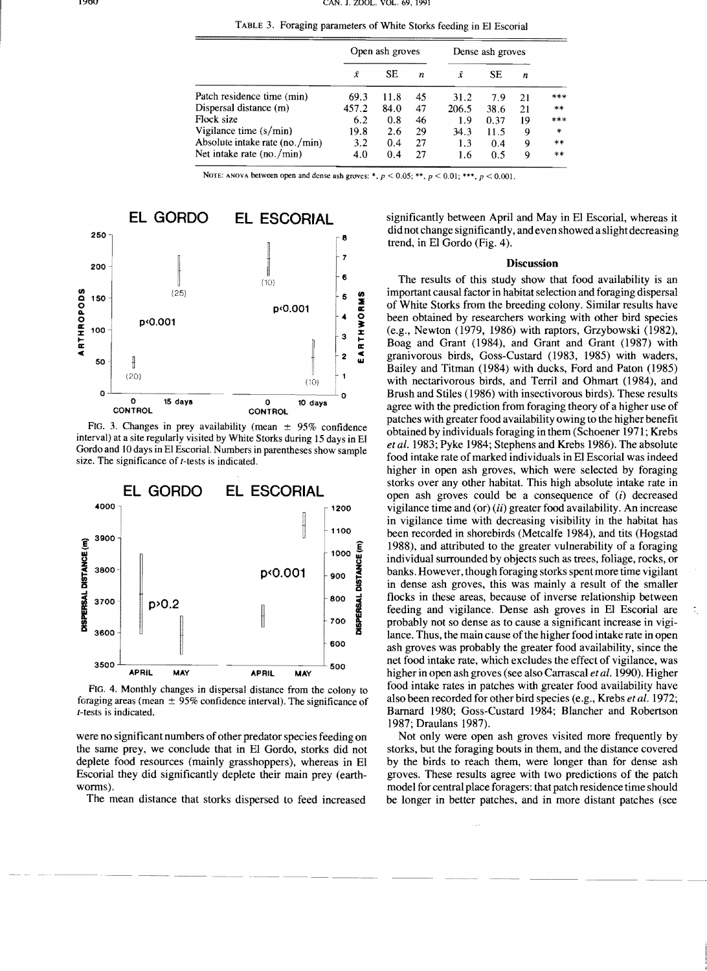|  |  |  |  | TABLE 3. Foraging parameters of White Storks feeding in El Escorial |
|--|--|--|--|---------------------------------------------------------------------|
|--|--|--|--|---------------------------------------------------------------------|

|                                | Open ash groves |      | Dense ash groves |       |           |    |         |
|--------------------------------|-----------------|------|------------------|-------|-----------|----|---------|
|                                | Ã               | SE.  | n                | x     | <b>SE</b> | n  |         |
| Patch residence time (min)     | 69.3            | 11.8 | 45               | 31.2  | 7.9       | 21 | ***     |
| Dispersal distance (m)         | 457.2           | 84.0 | 47               | 206.5 | 38.6      | 21 | $***$   |
| Flock size                     | 6.2             | 0.8  | 46               | 1.9   | 0.37      | 19 | $***$   |
| Vigilance time $(s/min)$       | 19.8            | 2.6  | 29               | 34.3  | 11.5      | 9  | $\star$ |
| Absolute intake rate (no./min) | 3.2             | 0.4  | 27               | 1.3   | 0.4       | 9  | **      |
| Net intake rate (no./min)      | 4.0             | 0.4  | 27               | 1.6   | 0.5       | 9  | **      |

**NOTE:** ANOVA between open and dense ash groves: \*,  $p < 0.05$ ; \*\*,  $p < 0.01$ ; \*\*\*,  $p < 0.001$ .



FIG. 3. Changes in prey availability (mean  $\pm$  95% confidence interval) at a site regularly visited by White Storks during 15 days in El Gordo and 10 days in El EscoriaL Numbers in parentheses show sample size. The significance of *t*-tests is indicated.



FIG. 4. Monthly changes in dispersal distance from the colony to foraging areas (mean  $\pm$  95% confidence interval). The significance of t-tests is indicated.

were no significant numbers of other predator species feeding on the same prey, we conclude that in El Gordo, storks did not deplete food resources (mainly grasshoppers), whereas in El Escorial they did significantly deplete their main prey (earthworms).

The mean distance that storks dispersed to feed increased

significantly between April and May in El Escorial, whereas it did not change significantly, and even showed a slight decreasing trend, in El Gordo (Fig. 4).

### Discussion

The results of this study show that food availability is an important causal factor in habitat selection and foraging dispersal of White Storks from the breeding colony. Similar results have been obtained by researchers working with other bird species (e.g., Newton (1979, 1986) with raptors, Grzybowski (1982), Boag and Grant (1984), and Grant and Grant (1987) with granivorous birds, Goss-Custard (1983, 1985) with waders, Bailey and Titman (1984) with ducks, Ford and Paton (1985) with nectarivorous birds, and Terril and Ohmart (1984), and Brush and Stiles (1986) with insectivorous birds). These results agree with the prediction from foraging theory of a higher use of patches with greater food availability owing to the higher benefit obtained by individuals foraging in them (Schoener 1971; Krebs *etal.* 1983; Pyke 1984; Stephens and Krebs 1986). The absolute food intake rate of marked individuals in El Escorial was indeed higher in open ash groves, which were selected by foraging storks over any other habitat. This high absolute intake rate in open ash groves could be a consequence of  $(i)$  decreased vigilance time and (or) (*ii*) greater food availability. An increase in vigilance time with decreasing visibility in the habitat has been recorded in shorebirds (Metcalfe 1984), and tits (Hogstad 1988), and attributed to the greater vulnerability of a foraging individual surrounded by objects such as trees, foliage, rocks, or banks. However, though foragíng storks spent more time vigilant in dense ash groves, this was mainly a result of the smaller flocks in these areas, because of inverse relationship between feeding and vigilance. Dense ash groves in El Escorial are probably not so dense as to cause a significant increase in vigilance. Thus, the main cause of the higher food intake rate in open ash groves was probably the greater food availability, since the net food intake rate, which excludes the effect of vigilance, was higher in open ash groves (see also Carrascal *et al.* 1990). Higher food intake rates in patches with greater food avaílability have also been recorded for other bird species (e.g., Krebs *et al. 1972;*  Barnard 1980; Goss-Custard 1984; Blancher and Robertson 1987; Draulans 1987).

Not only were open ash groves visited more frequently by storks, but the foraging bouts in them, and the distance covered by the birds to reach them, were longer than for dense ash groves. These results agree with two predictions of the patch model for central place foragers: that patch residence time should be longer in better patches, and in more distant patches (see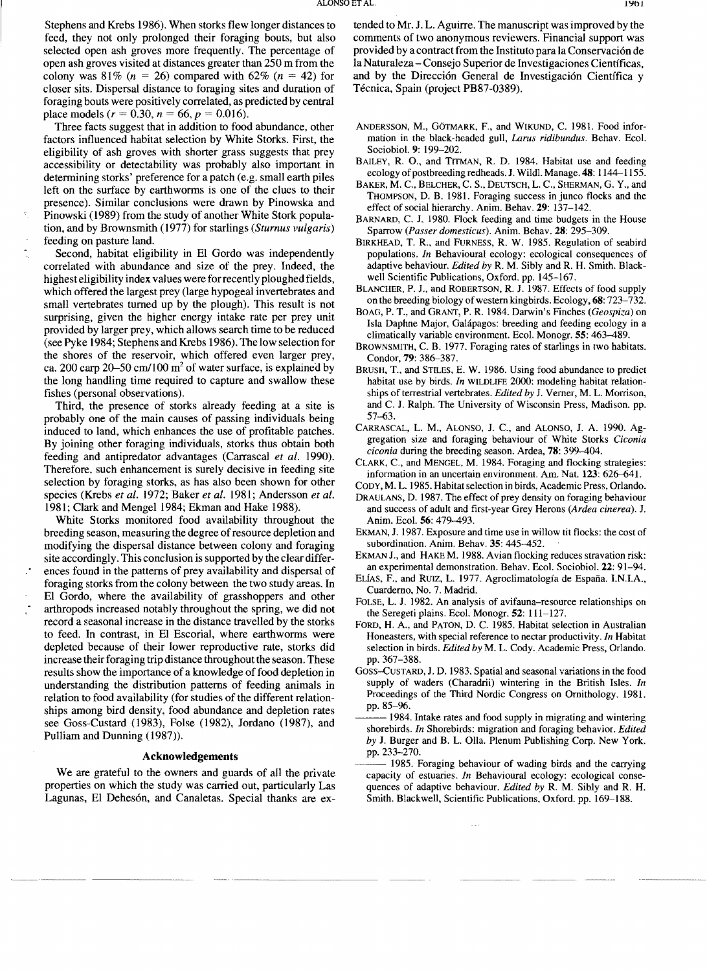Stephens and Krebs 1986). When storks flew longer distances to feed, they not only prolonged their foraging bouts, but also selected open ash groves more frequently. The percentage of open ash groves visited at distances greater than 250 m from the colony was 81% ( $n = 26$ ) compared with 62% ( $n = 42$ ) for closer sits. Dispersal distance to foraging sites and duration of foraging bouts were positively correlated, as predicted by central place models ( $r = 0.30$ ,  $n = 66$ ,  $p = 0.016$ ).

Three facts suggest that in addition to food abundance, other factors influenced habitat selection by White Storks. First, the eligibility of ash groves with shorter grass suggests that prey accessibility or detectability was probably also important in determining storks' preference for a patch (e.g. small earth piles left on the surface by earthworms is one of the clues to their presence). Similar conclusions were drawn by Pínowska and Pínowski (1989) from the study of another White Stork population, and by Brownsrnith (1977) for starlings *(Sturnus vulgaris)*  feeding on pasture land.

Second, habitat eligibility in El Gordo was independently correlated with abundance and size of the prey. Indeed, the highesteligibility index values were forrecently ploughed fields, which offered the largest prey (large hypogeal invertebrates and srnall vertebrates tumed up by the plough). This result is not surprising, given the higher energy intake rate per prey unit provided by larger prey, which allows search time to be reduced (see Pyke 1984; Stephens and Krebs 1986). The low selection for the shores of the reservoir, which offered even larger prey, ca. 200 carp 20–50 cm/100  $m<sup>2</sup>$  of water surface, is explained by the long handling time required to capture and swallow these fishes (personal observations).

Third, the presence of storks already feeding at a site is probably one of the main causes of passing individuals being induced to land, which enhances the use of profitable patches. By joining other foraging individuals, storks thus obtain both feeding and antipredator advantages (Carrascal *et al. 1990).*  Therefore, such enhancement is surely decisive in feeding site selection by foraging storks, as has also been shown for other species (Krebs *et al.* 1972; Baker *et al.* 1981; Andersson *et al.*  1981; Clark and Mengel 1984; Ekman and Hake 1988).

White Storks monitored food availability throughout the breeding season, measuring the degree of resource depletion and modifying the dispersal distance between colony and foraging site accordingly. This conclusion is supported by the clear differences found in the pattems of prey availability and dispersal of foraging storks from the colony between the two study areas. In El Gordo, where the availability of grasshoppers and other arthropods increased notably throughout the spring, we did not record a seasonal increase in the distance travelled by the storks to feed. In contrast, in El Escorial, where earthworms were depleted because of their 10wer reproductive rate, storks did increase their foraging trip distance throughout the season. These results show the importance of a knowledge of food depletion in understanding the distribution patterns of feeding animals in relation to food availability (for studies of the different relationships among bird density, food abundance and depletion rates see Goss-Custard (1983), Folse (1982), Jordano (1987), and Pulliam and Dunning (1987».

## **Acknowledgements**

We are gratefu] to the owners and guards of all the private properties on which the study was carried out, particularly Las Lagunas, El Dehesón, and Canaletas. Special thanks are ex-

tended to Mr. J. L. Aguirre. The manuscript was improved by the comments of two anonymous reviewers. Financial support was provided by a contract from the Instituto para la Conservación de la Naturaleza - Consejo Superior de Investigaciones Científicas, and by the Dirección General de Investigación Científica y Técnica, Spain (project PB87-0389).

- ANDERSSON, M., GÖTMARK, F., and WIKUND, C. 1981. Food information in the black-headed gull, *Larus ridibundus.* Behav. Eco1. SocíobioL 9: 199-202.
- BAlLEY, R. O., and TITMAN, R. D. 1984. Habitat use and feeding ecology of postbreeding redheads. J. Wildl. Manage. 48: 1144-1155.
- BAKER, M. C., BELCHER, C. S., DEUTSCH, L. C., SHERMAN, G. Y., and THOMPSON, D. B. 1981. Foraging success in junco flocks and the effect of social hierarchy. Anim. Behav. 29: 137-142.
- BARNARD, C. J. 1980. Flock feeding and time budgets in the House Sparrow *(Passer domesticus).* Anim. Behav. 28: 295-309.
- BIRKHEAD, T. R., and FURNESS, R. W. 1985. Regulation of seabird populations. *In* Behavioural ecology: ecological consequences of adaptive behaviour. *Edited by* R. M. Sibly and R. H. Smith. Blackwell Scíentific Publications, Oxford. pp. 145-167.
- BLANCHER, P. J., and ROBERTSON, R. J. 1987. Effects of food supply on the breeding biology ofwestem kingbirds. Ecology, 68: 723-732.
- BOAG, P. T., and GRANT, P. R. 1984. Darwin's Finches *(Geospiza)* on Isla Daphne Major, Galápagos: breeding and feeding ecology in a clímatically variable environment. Eco1. Monogr. 55: 463-489.
- BROWNSMITH, C. B. 1977. Foraging rates of starlings in two habitats. Condor, 79: 386-387.
- BRUSH, T., and STILES, E. W. 1986. Using food abundance to predict habitat use by birds. *In* WILDLIFE 2000: modeling habitat relationships of terrestrial vertebrates. *Edited by J. Verner*, M. L. Morrison, and C. J. Ralph. The University of Wisconsin Press, Madison. pp. 57-63.
- CARRASCAL, L. M., ALONSO, 1. c., and ALONSO, J. A. 1990. Aggregation size and foraging behaviour of White Storks *Ciconía ciconia* during the breeding season. Ardea, 78: 399-404.
- CLARK, c., and MENGEL, M. 1984. Foraging and flocking strategies: information in an uncertain environment. Am. Nat. 123: 626-641.
- CODY, M. L. 1985. Habitat selection in birds, Academic Press, Orlando.
- DRAULANS, D. 1987. The effect of prey density on foraging behaviour and success of adult and first-year Grey Herons *(Ardea cinerea). 1.*  Anim. Eco!. 56: 479-493.
- EKMAN, J. 1987. Exposure and time use in willow tit flocks: the cost of subordination. Anim. Behav. 35: 445-452.
- EKMAN J., and HAKE M. 1988. Avian flocking reduces stravation risk: an experimental demonstration. Behav. Eco1. Sociobio1. 22: 91-94.
- ELÍAS, F., and RUIZ, L. 1977. Agroclimatología de España. LN.LA., Cuardemo, No. 7. Madrid.
- FOLSE, L. J. 1982. An analysis of avifauna-resource relationships on the Seregeti plains. Eco1. Monogr. 52: 111-127.
- FORD, H. A., and PATON, D. C. 1985. Habitat selection in Australian Honeasters, with special reference to nectar productivity. In Habitat selection in birds. *Edited by M. L. Cody. Academic Press, Orlando.* pp. 367-388.
- GOSS-CUSTARD, J. D. 1983. Spatial and seasonal variations in the food supply of waders (Charadrii) wintering in the British Isles. *In*  Proceedings of the Third Nordic Congress on Ornithology. 1981. pp. 85-96.
- 1984. Intake rates and food supply in migrating and wintering shorebirds. *In* Shorebirds: migration and foraging behavior. *Edited by* J. Burger and B. L. Olla. Plenum Publishing Corp. New York. pp. 233-270.
- 1985. Foraging behaviour of wading birds and the carrying capacity of estuaries. *In* Behavioural ecology: ecological consequences of adaptive behaviour. *Edited by* R. M. Sibly and R. H. Smith. Blackwell, Scientific Publications, Oxford. pp. 169-188.

 $\sim$  .